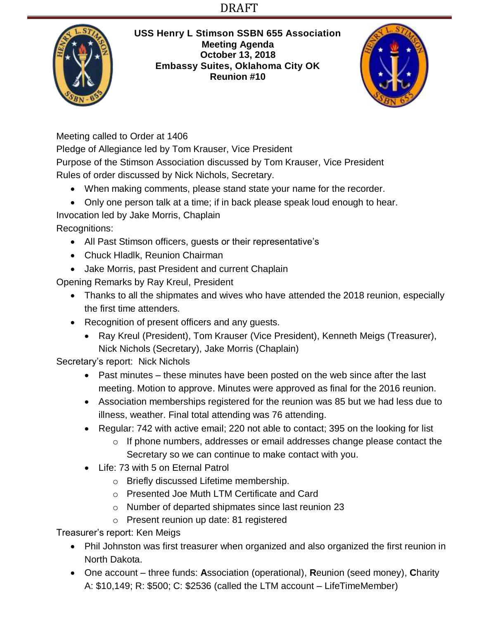# DRAFT



**USS Henry L Stimson SSBN 655 Association Meeting Agenda October 13, 2018 Embassy Suites, Oklahoma City OK Reunion #10**



Meeting called to Order at 1406

Pledge of Allegiance led by Tom Krauser, Vice President Purpose of the Stimson Association discussed by Tom Krauser, Vice President Rules of order discussed by Nick Nichols, Secretary.

- When making comments, please stand state your name for the recorder.
- Only one person talk at a time; if in back please speak loud enough to hear.

Invocation led by Jake Morris, Chaplain

Recognitions:

- All Past Stimson officers, guests or their representative's
- Chuck Hladlk, Reunion Chairman
- Jake Morris, past President and current Chaplain

Opening Remarks by Ray Kreul, President

- Thanks to all the shipmates and wives who have attended the 2018 reunion, especially the first time attenders.
- Recognition of present officers and any guests.
	- Ray Kreul (President), Tom Krauser (Vice President), Kenneth Meigs (Treasurer), Nick Nichols (Secretary), Jake Morris (Chaplain)

Secretary's report: Nick Nichols

- Past minutes these minutes have been posted on the web since after the last meeting. Motion to approve. Minutes were approved as final for the 2016 reunion.
- Association memberships registered for the reunion was 85 but we had less due to illness, weather. Final total attending was 76 attending.
- Regular: 742 with active email: 220 not able to contact: 395 on the looking for list
	- o If phone numbers, addresses or email addresses change please contact the Secretary so we can continue to make contact with you.
- Life: 73 with 5 on Eternal Patrol
	- o Briefly discussed Lifetime membership.
	- o Presented Joe Muth LTM Certificate and Card
	- o Number of departed shipmates since last reunion 23
	- o Present reunion up date: 81 registered

Treasurer's report: Ken Meigs

- Phil Johnston was first treasurer when organized and also organized the first reunion in North Dakota.
- One account three funds: **A**ssociation (operational), **R**eunion (seed money), **C**harity A: \$10,149; R: \$500; C: \$2536 (called the LTM account – LifeTimeMember)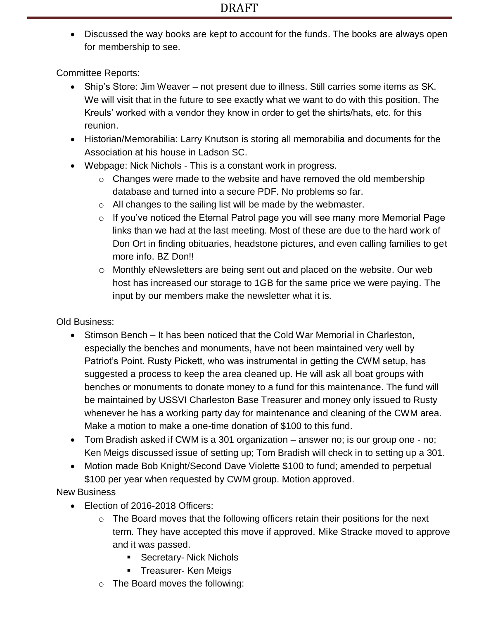Discussed the way books are kept to account for the funds. The books are always open for membership to see.

Committee Reports:

- Ship's Store: Jim Weaver not present due to illness. Still carries some items as SK. We will visit that in the future to see exactly what we want to do with this position. The Kreuls' worked with a vendor they know in order to get the shirts/hats, etc. for this reunion.
- Historian/Memorabilia: Larry Knutson is storing all memorabilia and documents for the Association at his house in Ladson SC.
- Webpage: Nick Nichols This is a constant work in progress.
	- $\circ$  Changes were made to the website and have removed the old membership database and turned into a secure PDF. No problems so far.
	- $\circ$  All changes to the sailing list will be made by the webmaster.
	- $\circ$  If you've noticed the Eternal Patrol page you will see many more Memorial Page links than we had at the last meeting. Most of these are due to the hard work of Don Ort in finding obituaries, headstone pictures, and even calling families to get more info. BZ Don!!
	- o Monthly eNewsletters are being sent out and placed on the website. Our web host has increased our storage to 1GB for the same price we were paying. The input by our members make the newsletter what it is.

Old Business:

- Stimson Bench It has been noticed that the Cold War Memorial in Charleston, especially the benches and monuments, have not been maintained very well by Patriot's Point. Rusty Pickett, who was instrumental in getting the CWM setup, has suggested a process to keep the area cleaned up. He will ask all boat groups with benches or monuments to donate money to a fund for this maintenance. The fund will be maintained by USSVI Charleston Base Treasurer and money only issued to Rusty whenever he has a working party day for maintenance and cleaning of the CWM area. Make a motion to make a one-time donation of \$100 to this fund.
- Tom Bradish asked if CWM is a 301 organization answer no; is our group one no; Ken Meigs discussed issue of setting up; Tom Bradish will check in to setting up a 301.
- Motion made Bob Knight/Second Dave Violette \$100 to fund; amended to perpetual \$100 per year when requested by CWM group. Motion approved.

New Business

- Election of 2016-2018 Officers:
	- $\circ$  The Board moves that the following officers retain their positions for the next term. They have accepted this move if approved. Mike Stracke moved to approve and it was passed.
		- **Secretary- Nick Nichols**
		- **Treasurer- Ken Meigs**
	- o The Board moves the following: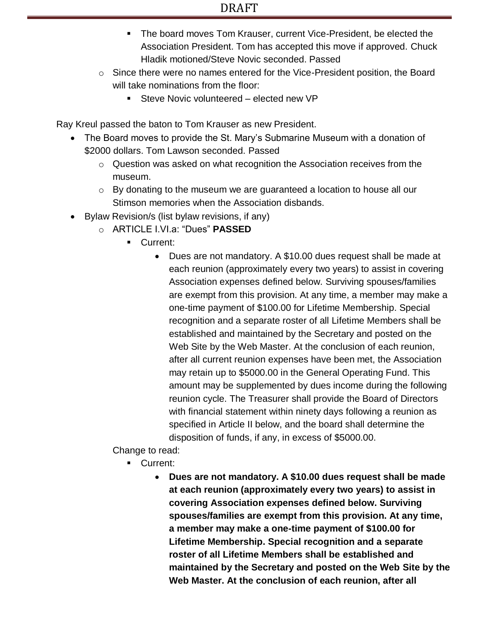- The board moves Tom Krauser, current Vice-President, be elected the Association President. Tom has accepted this move if approved. Chuck Hladik motioned/Steve Novic seconded. Passed
- o Since there were no names entered for the Vice-President position, the Board will take nominations from the floor:
	- Steve Novic volunteered elected new VP

Ray Kreul passed the baton to Tom Krauser as new President.

- The Board moves to provide the St. Mary's Submarine Museum with a donation of \$2000 dollars. Tom Lawson seconded. Passed
	- o Question was asked on what recognition the Association receives from the museum.
	- $\circ$  By donating to the museum we are guaranteed a location to house all our Stimson memories when the Association disbands.
- Bylaw Revision/s (list bylaw revisions, if any)
	- o ARTICLE I.VI.a: "Dues" **PASSED**
		- **Current:** 
			- Dues are not mandatory. A \$10.00 dues request shall be made at each reunion (approximately every two years) to assist in covering Association expenses defined below. Surviving spouses/families are exempt from this provision. At any time, a member may make a one-time payment of \$100.00 for Lifetime Membership. Special recognition and a separate roster of all Lifetime Members shall be established and maintained by the Secretary and posted on the Web Site by the Web Master. At the conclusion of each reunion, after all current reunion expenses have been met, the Association may retain up to \$5000.00 in the General Operating Fund. This amount may be supplemented by dues income during the following reunion cycle. The Treasurer shall provide the Board of Directors with financial statement within ninety days following a reunion as specified in Article II below, and the board shall determine the disposition of funds, if any, in excess of \$5000.00.

Change to read:

- Current:
	- **Dues are not mandatory. A \$10.00 dues request shall be made at each reunion (approximately every two years) to assist in covering Association expenses defined below. Surviving spouses/families are exempt from this provision. At any time, a member may make a one-time payment of \$100.00 for Lifetime Membership. Special recognition and a separate roster of all Lifetime Members shall be established and maintained by the Secretary and posted on the Web Site by the Web Master. At the conclusion of each reunion, after all**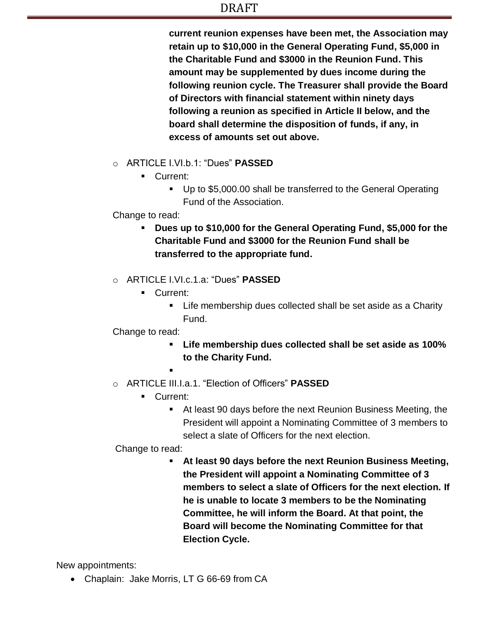### DRAFT

**current reunion expenses have been met, the Association may retain up to \$10,000 in the General Operating Fund, \$5,000 in the Charitable Fund and \$3000 in the Reunion Fund. This amount may be supplemented by dues income during the following reunion cycle. The Treasurer shall provide the Board of Directors with financial statement within ninety days following a reunion as specified in Article II below, and the board shall determine the disposition of funds, if any, in excess of amounts set out above.**

- o ARTICLE I.VI.b.1: "Dues" **PASSED**
	- **Current:** 
		- Up to \$5,000.00 shall be transferred to the General Operating Fund of the Association.

#### Change to read:

- **Dues up to \$10,000 for the General Operating Fund, \$5,000 for the Charitable Fund and \$3000 for the Reunion Fund shall be transferred to the appropriate fund.**
- o ARTICLE I.VI.c.1.a: "Dues" **PASSED**
	- **Current:** 
		- **EXTE:** Life membership dues collected shall be set aside as a Charity Fund.

### Change to read:

- **Life membership dues collected shall be set aside as 100% to the Charity Fund.**
- .
- o ARTICLE III.I.a.1. "Election of Officers" **PASSED**
	- **Current:** 
		- At least 90 days before the next Reunion Business Meeting, the President will appoint a Nominating Committee of 3 members to select a slate of Officers for the next election.

### Change to read:

 **At least 90 days before the next Reunion Business Meeting, the President will appoint a Nominating Committee of 3 members to select a slate of Officers for the next election. If he is unable to locate 3 members to be the Nominating Committee, he will inform the Board. At that point, the Board will become the Nominating Committee for that Election Cycle.**

New appointments:

Chaplain: Jake Morris, LT G 66-69 from CA